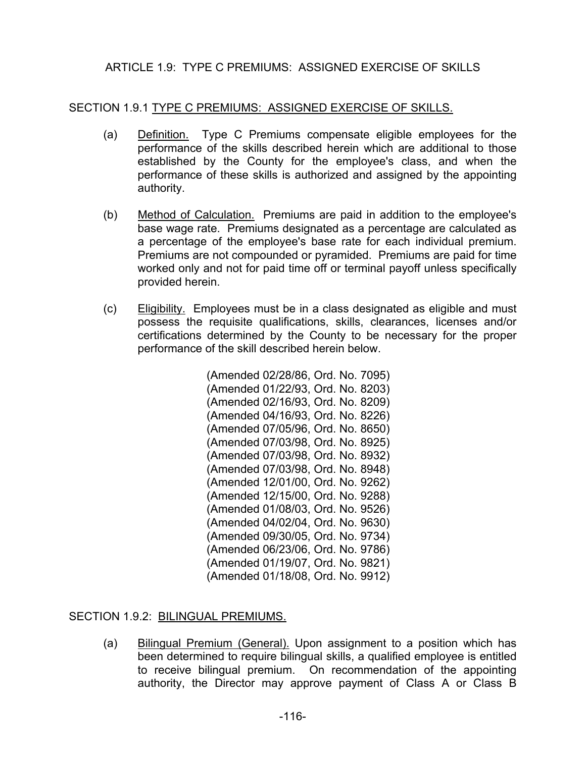# ARTICLE 1.9: TYPE C PREMIUMS: ASSIGNED EXERCISE OF SKILLS

### SECTION 1.9.1 TYPE C PREMIUMS: ASSIGNED EXERCISE OF SKILLS.

- (a) Definition. Type C Premiums compensate eligible employees for the performance of the skills described herein which are additional to those established by the County for the employee's class, and when the performance of these skills is authorized and assigned by the appointing authority.
- (b) Method of Calculation. Premiums are paid in addition to the employee's base wage rate. Premiums designated as a percentage are calculated as a percentage of the employee's base rate for each individual premium. Premiums are not compounded or pyramided. Premiums are paid for time worked only and not for paid time off or terminal payoff unless specifically provided herein.
- (c) Eligibility. Employees must be in a class designated as eligible and must possess the requisite qualifications, skills, clearances, licenses and/or certifications determined by the County to be necessary for the proper performance of the skill described herein below.

 (Amended 02/28/86, Ord. No. 7095) (Amended 01/22/93, Ord. No. 8203) (Amended 02/16/93, Ord. No. 8209) (Amended 04/16/93, Ord. No. 8226) (Amended 07/05/96, Ord. No. 8650) (Amended 07/03/98, Ord. No. 8925) (Amended 07/03/98, Ord. No. 8932) (Amended 07/03/98, Ord. No. 8948) (Amended 12/01/00, Ord. No. 9262) (Amended 12/15/00, Ord. No. 9288) (Amended 01/08/03, Ord. No. 9526) (Amended 04/02/04, Ord. No. 9630) (Amended 09/30/05, Ord. No. 9734) (Amended 06/23/06, Ord. No. 9786) (Amended 01/19/07, Ord. No. 9821) (Amended 01/18/08, Ord. No. 9912)

SECTION 1.9.2: BILINGUAL PREMIUMS.

(a) Bilingual Premium (General). Upon assignment to a position which has been determined to require bilingual skills, a qualified employee is entitled to receive bilingual premium. On recommendation of the appointing authority, the Director may approve payment of Class A or Class B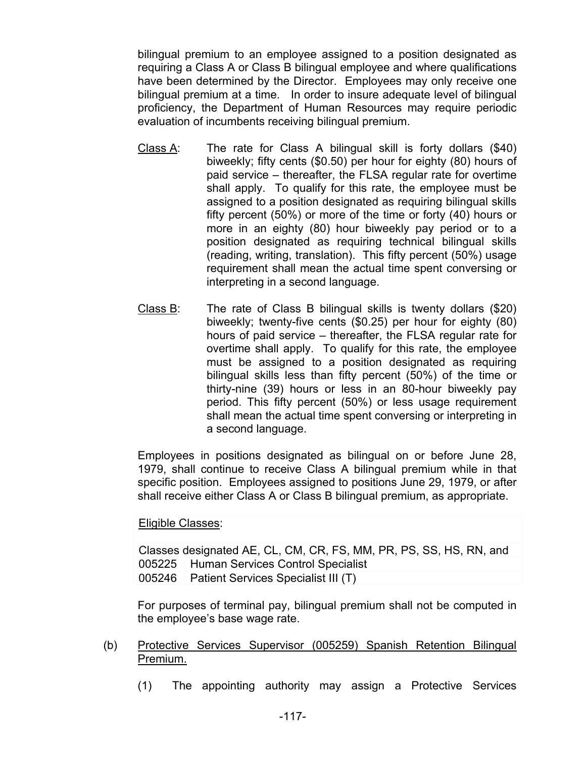bilingual premium to an employee assigned to a position designated as requiring a Class A or Class B bilingual employee and where qualifications have been determined by the Director. Employees may only receive one bilingual premium at a time. In order to insure adequate level of bilingual proficiency, the Department of Human Resources may require periodic evaluation of incumbents receiving bilingual premium.

- Class A: The rate for Class A bilingual skill is forty dollars (\$40) biweekly; fifty cents (\$0.50) per hour for eighty (80) hours of paid service – thereafter, the FLSA regular rate for overtime shall apply. To qualify for this rate, the employee must be assigned to a position designated as requiring bilingual skills fifty percent (50%) or more of the time or forty (40) hours or more in an eighty (80) hour biweekly pay period or to a position designated as requiring technical bilingual skills (reading, writing, translation). This fifty percent (50%) usage requirement shall mean the actual time spent conversing or interpreting in a second language.
- Class B: The rate of Class B bilingual skills is twenty dollars  $(\$20)$ biweekly; twenty-five cents (\$0.25) per hour for eighty (80) hours of paid service – thereafter, the FLSA regular rate for overtime shall apply. To qualify for this rate, the employee must be assigned to a position designated as requiring bilingual skills less than fifty percent (50%) of the time or thirty-nine (39) hours or less in an 80-hour biweekly pay period. This fifty percent (50%) or less usage requirement shall mean the actual time spent conversing or interpreting in a second language.

Employees in positions designated as bilingual on or before June 28, 1979, shall continue to receive Class A bilingual premium while in that specific position. Employees assigned to positions June 29, 1979, or after shall receive either Class A or Class B bilingual premium, as appropriate.

### Eligible Classes:

Classes designated AE, CL, CM, CR, FS, MM, PR, PS, SS, HS, RN, and 005225 Human Services Control Specialist 005246 Patient Services Specialist III (T)

For purposes of terminal pay, bilingual premium shall not be computed in the employee's base wage rate.

- (b) Protective Services Supervisor (005259) Spanish Retention Bilingual Premium.
	- (1) The appointing authority may assign a Protective Services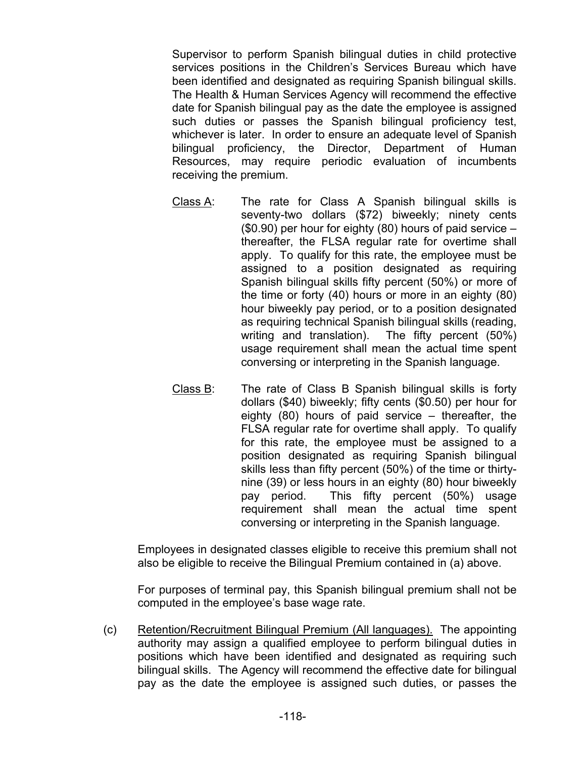Supervisor to perform Spanish bilingual duties in child protective services positions in the Children's Services Bureau which have been identified and designated as requiring Spanish bilingual skills. The Health & Human Services Agency will recommend the effective date for Spanish bilingual pay as the date the employee is assigned such duties or passes the Spanish bilingual proficiency test, whichever is later. In order to ensure an adequate level of Spanish bilingual proficiency, the Director, Department of Human Resources, may require periodic evaluation of incumbents receiving the premium.

- Class A: The rate for Class A Spanish bilingual skills is seventy-two dollars (\$72) biweekly; ninety cents (\$0.90) per hour for eighty (80) hours of paid service – thereafter, the FLSA regular rate for overtime shall apply. To qualify for this rate, the employee must be assigned to a position designated as requiring Spanish bilingual skills fifty percent (50%) or more of the time or forty (40) hours or more in an eighty (80) hour biweekly pay period, or to a position designated as requiring technical Spanish bilingual skills (reading, writing and translation). The fifty percent (50%) usage requirement shall mean the actual time spent conversing or interpreting in the Spanish language.
- Class  $B$ : The rate of Class B Spanish bilingual skills is forty dollars (\$40) biweekly; fifty cents (\$0.50) per hour for eighty (80) hours of paid service – thereafter, the FLSA regular rate for overtime shall apply. To qualify for this rate, the employee must be assigned to a position designated as requiring Spanish bilingual skills less than fifty percent (50%) of the time or thirtynine (39) or less hours in an eighty (80) hour biweekly pay period. This fifty percent (50%) usage requirement shall mean the actual time spent conversing or interpreting in the Spanish language.

Employees in designated classes eligible to receive this premium shall not also be eligible to receive the Bilingual Premium contained in (a) above.

For purposes of terminal pay, this Spanish bilingual premium shall not be computed in the employee's base wage rate.

(c) Retention/Recruitment Bilingual Premium (All languages). The appointing authority may assign a qualified employee to perform bilingual duties in positions which have been identified and designated as requiring such bilingual skills. The Agency will recommend the effective date for bilingual pay as the date the employee is assigned such duties, or passes the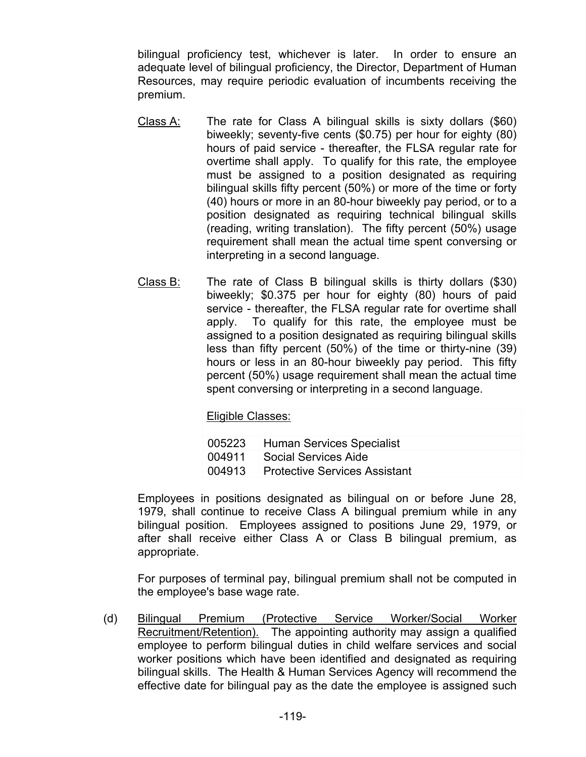bilingual proficiency test, whichever is later. In order to ensure an adequate level of bilingual proficiency, the Director, Department of Human Resources, may require periodic evaluation of incumbents receiving the premium.

- Class A: The rate for Class A bilingual skills is sixty dollars (\$60) biweekly; seventy-five cents (\$0.75) per hour for eighty (80) hours of paid service - thereafter, the FLSA regular rate for overtime shall apply. To qualify for this rate, the employee must be assigned to a position designated as requiring bilingual skills fifty percent (50%) or more of the time or forty (40) hours or more in an 80-hour biweekly pay period, or to a position designated as requiring technical bilingual skills (reading, writing translation). The fifty percent (50%) usage requirement shall mean the actual time spent conversing or interpreting in a second language.
- Class B: The rate of Class B bilingual skills is thirty dollars (\$30) biweekly; \$0.375 per hour for eighty (80) hours of paid service - thereafter, the FLSA regular rate for overtime shall apply. To qualify for this rate, the employee must be assigned to a position designated as requiring bilingual skills less than fifty percent (50%) of the time or thirty-nine (39) hours or less in an 80-hour biweekly pay period. This fifty percent (50%) usage requirement shall mean the actual time spent conversing or interpreting in a second language.

Eligible Classes:

| 005223 Human Services Specialist     |
|--------------------------------------|
| 004911 Social Services Aide          |
| 004913 Protective Services Assistant |

Employees in positions designated as bilingual on or before June 28, 1979, shall continue to receive Class A bilingual premium while in any bilingual position. Employees assigned to positions June 29, 1979, or after shall receive either Class A or Class B bilingual premium, as appropriate.

For purposes of terminal pay, bilingual premium shall not be computed in the employee's base wage rate.

(d) Bilingual Premium (Protective Service Worker/Social Worker Recruitment/Retention). The appointing authority may assign a qualified employee to perform bilingual duties in child welfare services and social worker positions which have been identified and designated as requiring bilingual skills. The Health & Human Services Agency will recommend the effective date for bilingual pay as the date the employee is assigned such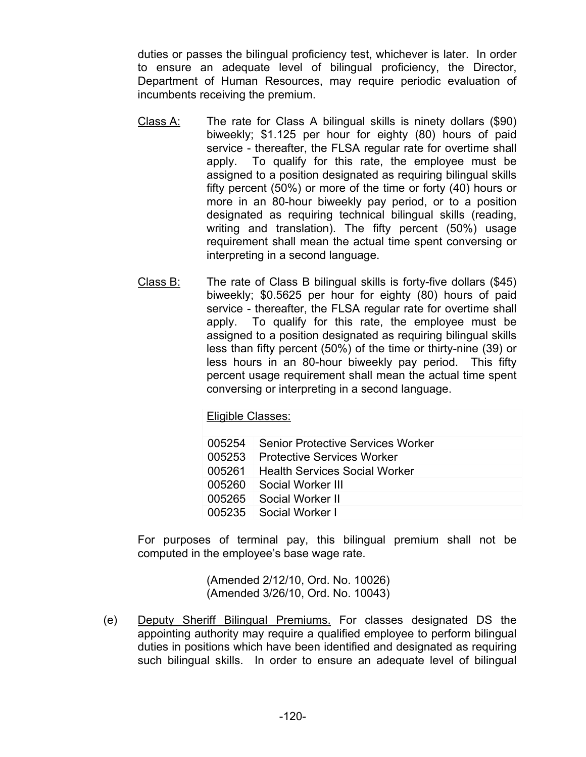duties or passes the bilingual proficiency test, whichever is later. In order to ensure an adequate level of bilingual proficiency, the Director, Department of Human Resources, may require periodic evaluation of incumbents receiving the premium.

- Class A: The rate for Class A bilingual skills is ninety dollars (\$90) biweekly; \$1.125 per hour for eighty (80) hours of paid service - thereafter, the FLSA regular rate for overtime shall apply. To qualify for this rate, the employee must be assigned to a position designated as requiring bilingual skills fifty percent (50%) or more of the time or forty (40) hours or more in an 80-hour biweekly pay period, or to a position designated as requiring technical bilingual skills (reading, writing and translation). The fifty percent (50%) usage requirement shall mean the actual time spent conversing or interpreting in a second language.
- Class B: The rate of Class B bilingual skills is forty-five dollars (\$45) biweekly; \$0.5625 per hour for eighty (80) hours of paid service - thereafter, the FLSA regular rate for overtime shall apply. To qualify for this rate, the employee must be assigned to a position designated as requiring bilingual skills less than fifty percent (50%) of the time or thirty-nine (39) or less hours in an 80-hour biweekly pay period. This fifty percent usage requirement shall mean the actual time spent conversing or interpreting in a second language.

Eligible Classes:

| 005254 Senior Protective Services Worker |
|------------------------------------------|
| 005253 Protective Services Worker        |
| 005261 Health Services Social Worker     |
| 005260 Social Worker III                 |
| 005265 Social Worker II                  |
| 005235 Social Worker I                   |

For purposes of terminal pay, this bilingual premium shall not be computed in the employee's base wage rate.

> (Amended 2/12/10, Ord. No. 10026) (Amended 3/26/10, Ord. No. 10043)

(e) Deputy Sheriff Bilingual Premiums. For classes designated DS the appointing authority may require a qualified employee to perform bilingual duties in positions which have been identified and designated as requiring such bilingual skills. In order to ensure an adequate level of bilingual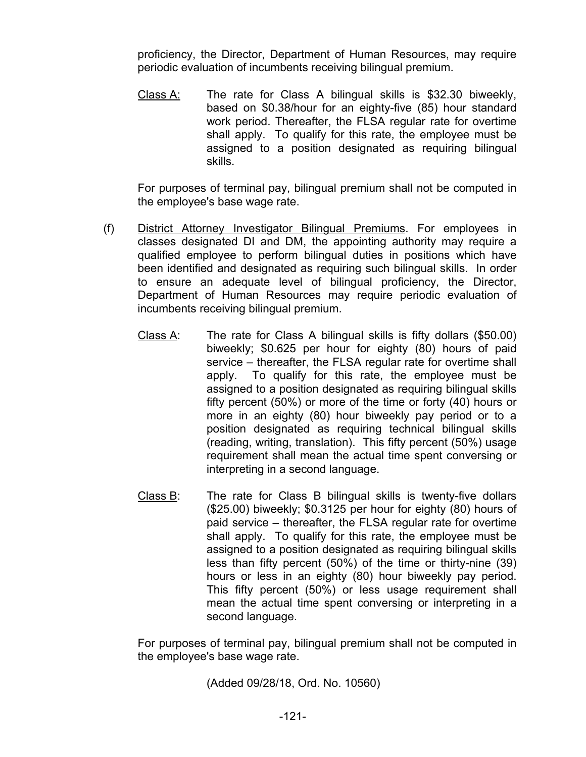proficiency, the Director, Department of Human Resources, may require periodic evaluation of incumbents receiving bilingual premium.

Class A: The rate for Class A bilingual skills is \$32.30 biweekly, based on \$0.38/hour for an eighty-five (85) hour standard work period. Thereafter, the FLSA regular rate for overtime shall apply. To qualify for this rate, the employee must be assigned to a position designated as requiring bilingual skills.

For purposes of terminal pay, bilingual premium shall not be computed in the employee's base wage rate.

- (f) District Attorney Investigator Bilingual Premiums. For employees in classes designated DI and DM, the appointing authority may require a qualified employee to perform bilingual duties in positions which have been identified and designated as requiring such bilingual skills. In order to ensure an adequate level of bilingual proficiency, the Director, Department of Human Resources may require periodic evaluation of incumbents receiving bilingual premium.
	- Class A: The rate for Class A bilingual skills is fifty dollars (\$50.00) biweekly; \$0.625 per hour for eighty (80) hours of paid service – thereafter, the FLSA regular rate for overtime shall apply. To qualify for this rate, the employee must be assigned to a position designated as requiring bilingual skills fifty percent (50%) or more of the time or forty (40) hours or more in an eighty (80) hour biweekly pay period or to a position designated as requiring technical bilingual skills (reading, writing, translation). This fifty percent (50%) usage requirement shall mean the actual time spent conversing or interpreting in a second language.
	- Class B: The rate for Class B bilingual skills is twenty-five dollars (\$25.00) biweekly; \$0.3125 per hour for eighty (80) hours of paid service – thereafter, the FLSA regular rate for overtime shall apply. To qualify for this rate, the employee must be assigned to a position designated as requiring bilingual skills less than fifty percent (50%) of the time or thirty-nine (39) hours or less in an eighty (80) hour biweekly pay period. This fifty percent (50%) or less usage requirement shall mean the actual time spent conversing or interpreting in a second language.

For purposes of terminal pay, bilingual premium shall not be computed in the employee's base wage rate.

(Added 09/28/18, Ord. No. 10560)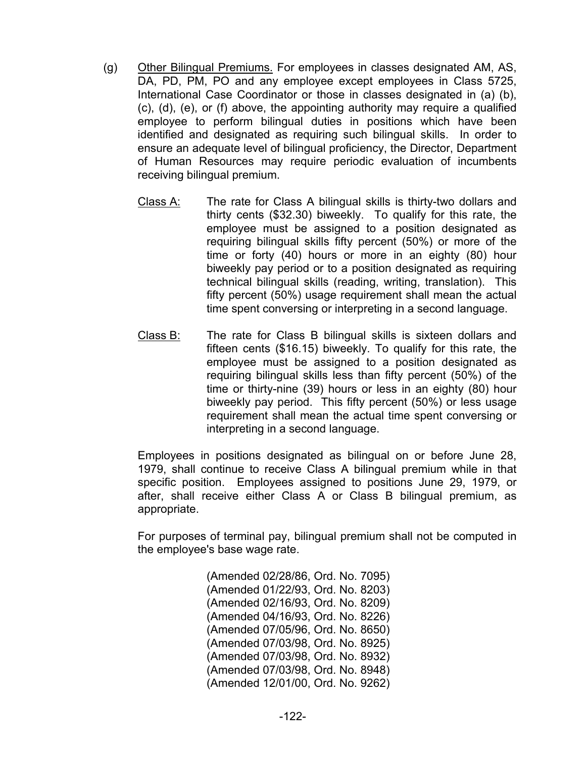- (g) Other Bilingual Premiums. For employees in classes designated AM, AS, DA, PD, PM, PO and any employee except employees in Class 5725, International Case Coordinator or those in classes designated in (a) (b), (c), (d), (e), or (f) above, the appointing authority may require a qualified employee to perform bilingual duties in positions which have been identified and designated as requiring such bilingual skills. In order to ensure an adequate level of bilingual proficiency, the Director, Department of Human Resources may require periodic evaluation of incumbents receiving bilingual premium.
	- Class A: The rate for Class A bilingual skills is thirty-two dollars and thirty cents (\$32.30) biweekly. To qualify for this rate, the employee must be assigned to a position designated as requiring bilingual skills fifty percent (50%) or more of the time or forty (40) hours or more in an eighty (80) hour biweekly pay period or to a position designated as requiring technical bilingual skills (reading, writing, translation). This fifty percent (50%) usage requirement shall mean the actual time spent conversing or interpreting in a second language.
	- Class B: The rate for Class B bilingual skills is sixteen dollars and fifteen cents (\$16.15) biweekly. To qualify for this rate, the employee must be assigned to a position designated as requiring bilingual skills less than fifty percent (50%) of the time or thirty-nine (39) hours or less in an eighty (80) hour biweekly pay period. This fifty percent (50%) or less usage requirement shall mean the actual time spent conversing or interpreting in a second language.

Employees in positions designated as bilingual on or before June 28, 1979, shall continue to receive Class A bilingual premium while in that specific position. Employees assigned to positions June 29, 1979, or after, shall receive either Class A or Class B bilingual premium, as appropriate.

For purposes of terminal pay, bilingual premium shall not be computed in the employee's base wage rate.

> (Amended 02/28/86, Ord. No. 7095) (Amended 01/22/93, Ord. No. 8203) (Amended 02/16/93, Ord. No. 8209) (Amended 04/16/93, Ord. No. 8226) (Amended 07/05/96, Ord. No. 8650) (Amended 07/03/98, Ord. No. 8925) (Amended 07/03/98, Ord. No. 8932) (Amended 07/03/98, Ord. No. 8948) (Amended 12/01/00, Ord. No. 9262)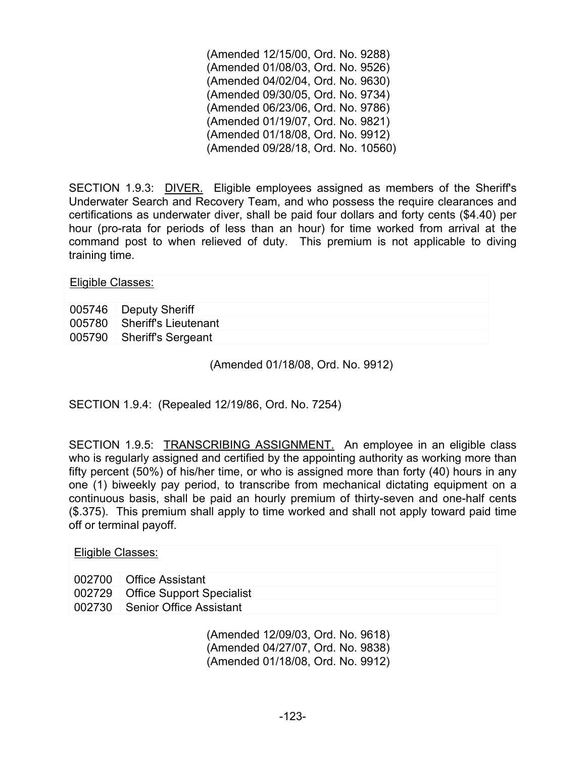(Amended 12/15/00, Ord. No. 9288) (Amended 01/08/03, Ord. No. 9526) (Amended 04/02/04, Ord. No. 9630) (Amended 09/30/05, Ord. No. 9734) (Amended 06/23/06, Ord. No. 9786) (Amended 01/19/07, Ord. No. 9821) (Amended 01/18/08, Ord. No. 9912) (Amended 09/28/18, Ord. No. 10560)

SECTION 1.9.3: DIVER. Eligible employees assigned as members of the Sheriff's Underwater Search and Recovery Team, and who possess the require clearances and certifications as underwater diver, shall be paid four dollars and forty cents (\$4.40) per hour (pro-rata for periods of less than an hour) for time worked from arrival at the command post to when relieved of duty. This premium is not applicable to diving training time.

#### Eligible Classes:

| 005746 Deputy Sheriff       |
|-----------------------------|
| 005780 Sheriff's Lieutenant |
| 005790 Sheriff's Sergeant   |
|                             |

(Amended 01/18/08, Ord. No. 9912)

SECTION 1.9.4: (Repealed 12/19/86, Ord. No. 7254)

SECTION 1.9.5: TRANSCRIBING ASSIGNMENT. An employee in an eligible class who is regularly assigned and certified by the appointing authority as working more than fifty percent (50%) of his/her time, or who is assigned more than forty (40) hours in any one (1) biweekly pay period, to transcribe from mechanical dictating equipment on a continuous basis, shall be paid an hourly premium of thirty-seven and one-half cents (\$.375). This premium shall apply to time worked and shall not apply toward paid time off or terminal payoff.

| Eligible Classes: |                                  |  |
|-------------------|----------------------------------|--|
|                   | 002700 Office Assistant          |  |
|                   | 002729 Office Support Specialist |  |
|                   | 002730 Senior Office Assistant   |  |

(Amended 12/09/03, Ord. No. 9618) (Amended 04/27/07, Ord. No. 9838) (Amended 01/18/08, Ord. No. 9912)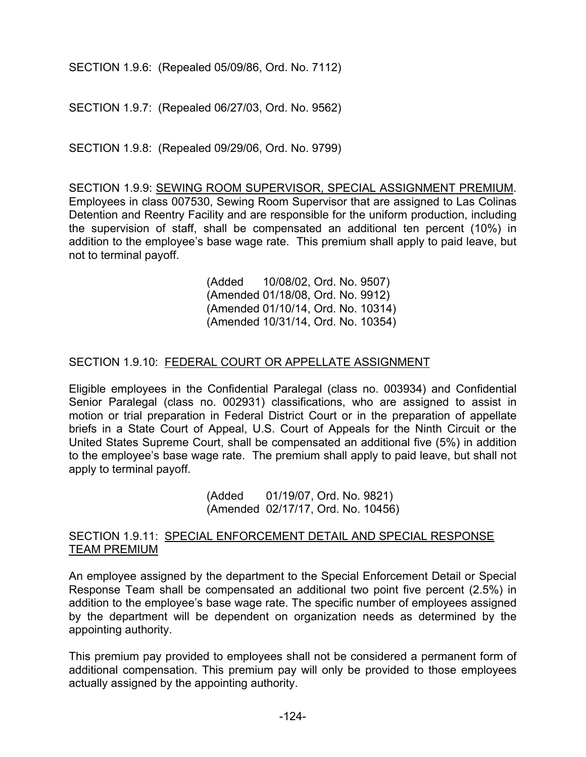SECTION 1.9.6: (Repealed 05/09/86, Ord. No. 7112)

SECTION 1.9.7: (Repealed 06/27/03, Ord. No. 9562)

SECTION 1.9.8: (Repealed 09/29/06, Ord. No. 9799)

SECTION 1.9.9: SEWING ROOM SUPERVISOR, SPECIAL ASSIGNMENT PREMIUM. Employees in class 007530, Sewing Room Supervisor that are assigned to Las Colinas Detention and Reentry Facility and are responsible for the uniform production, including the supervision of staff, shall be compensated an additional ten percent (10%) in addition to the employee's base wage rate. This premium shall apply to paid leave, but not to terminal payoff.

> (Added 10/08/02, Ord. No. 9507) (Amended 01/18/08, Ord. No. 9912) (Amended 01/10/14, Ord. No. 10314) (Amended 10/31/14, Ord. No. 10354)

## SECTION 1.9.10: FEDERAL COURT OR APPELLATE ASSIGNMENT

Eligible employees in the Confidential Paralegal (class no. 003934) and Confidential Senior Paralegal (class no. 002931) classifications, who are assigned to assist in motion or trial preparation in Federal District Court or in the preparation of appellate briefs in a State Court of Appeal, U.S. Court of Appeals for the Ninth Circuit or the United States Supreme Court, shall be compensated an additional five (5%) in addition to the employee's base wage rate. The premium shall apply to paid leave, but shall not apply to terminal payoff.

> (Added 01/19/07, Ord. No. 9821) (Amended 02/17/17, Ord. No. 10456)

### SECTION 1.9.11: SPECIAL ENFORCEMENT DETAIL AND SPECIAL RESPONSE TEAM PREMIUM

An employee assigned by the department to the Special Enforcement Detail or Special Response Team shall be compensated an additional two point five percent (2.5%) in addition to the employee's base wage rate. The specific number of employees assigned by the department will be dependent on organization needs as determined by the appointing authority.

This premium pay provided to employees shall not be considered a permanent form of additional compensation. This premium pay will only be provided to those employees actually assigned by the appointing authority.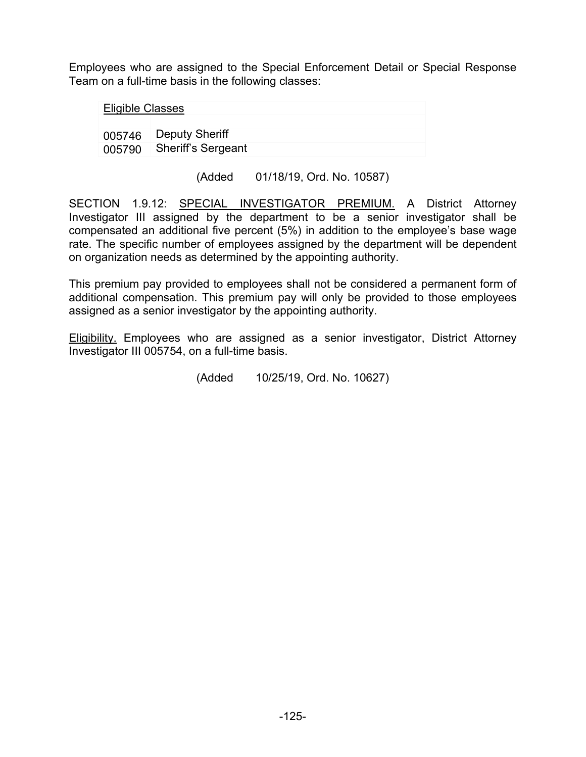Employees who are assigned to the Special Enforcement Detail or Special Response Team on a full-time basis in the following classes:

| <b>Eligible Classes</b> |                           |  |
|-------------------------|---------------------------|--|
|                         |                           |  |
|                         | 005746 Deputy Sheriff     |  |
|                         | 005790 Sheriff's Sergeant |  |

(Added 01/18/19, Ord. No. 10587)

SECTION 1.9.12: SPECIAL INVESTIGATOR PREMIUM. A District Attorney Investigator III assigned by the department to be a senior investigator shall be compensated an additional five percent (5%) in addition to the employee's base wage rate. The specific number of employees assigned by the department will be dependent on organization needs as determined by the appointing authority.

This premium pay provided to employees shall not be considered a permanent form of additional compensation. This premium pay will only be provided to those employees assigned as a senior investigator by the appointing authority.

Eligibility. Employees who are assigned as a senior investigator, District Attorney Investigator III 005754, on a full-time basis.

(Added 10/25/19, Ord. No. 10627)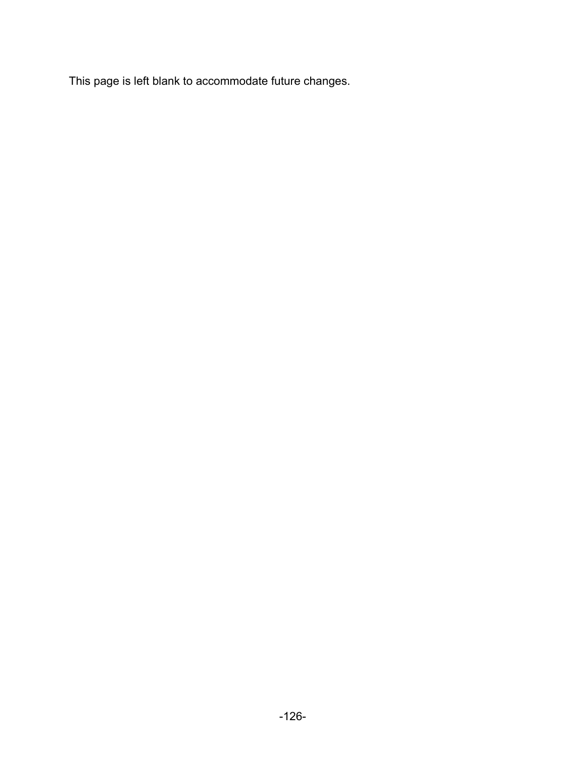This page is left blank to accommodate future changes.